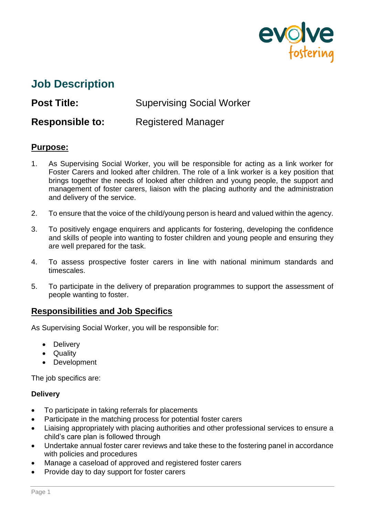

# **Job Description**

**Post Title:** Supervising Social Worker

**Responsible to:** Registered Manager

# **Purpose:**

- 1. As Supervising Social Worker, you will be responsible for acting as a link worker for Foster Carers and looked after children. The role of a link worker is a key position that brings together the needs of looked after children and young people, the support and management of foster carers, liaison with the placing authority and the administration and delivery of the service.
- 2. To ensure that the voice of the child/young person is heard and valued within the agency.
- 3. To positively engage enquirers and applicants for fostering, developing the confidence and skills of people into wanting to foster children and young people and ensuring they are well prepared for the task.
- 4. To assess prospective foster carers in line with national minimum standards and timescales.
- 5. To participate in the delivery of preparation programmes to support the assessment of people wanting to foster.

# **Responsibilities and Job Specifics**

As Supervising Social Worker, you will be responsible for:

- Delivery
- Quality
- **Development**

The job specifics are:

## **Delivery**

- To participate in taking referrals for placements
- Participate in the matching process for potential foster carers
- Liaising appropriately with placing authorities and other professional services to ensure a child's care plan is followed through
- Undertake annual foster carer reviews and take these to the fostering panel in accordance with policies and procedures
- Manage a caseload of approved and registered foster carers
- Provide day to day support for foster carers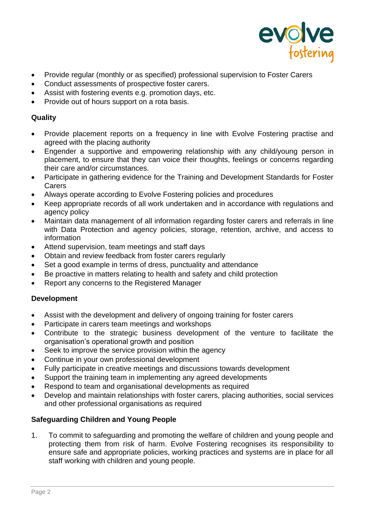

- Provide regular (monthly or as specified) professional supervision to Foster Carers
- Conduct assessments of prospective foster carers.
- Assist with fostering events e.g. promotion days, etc.
- Provide out of hours support on a rota basis.

## **Quality**

- Provide placement reports on a frequency in line with Evolve Fostering practise and agreed with the placing authority
- Engender a supportive and empowering relationship with any child/young person in placement, to ensure that they can voice their thoughts, feelings or concerns regarding their care and/or circumstances.
- Participate in gathering evidence for the Training and Development Standards for Foster Carers
- Always operate according to Evolve Fostering policies and procedures
- Keep appropriate records of all work undertaken and in accordance with regulations and agency policy
- Maintain data management of all information regarding foster carers and referrals in line with Data Protection and agency policies, storage, retention, archive, and access to information
- Attend supervision, team meetings and staff days
- Obtain and review feedback from foster carers regularly
- Set a good example in terms of dress, punctuality and attendance
- Be proactive in matters relating to health and safety and child protection
- Report any concerns to the Registered Manager

## **Development**

- Assist with the development and delivery of ongoing training for foster carers
- Participate in carers team meetings and workshops
- Contribute to the strategic business development of the venture to facilitate the organisation's operational growth and position
- Seek to improve the service provision within the agency
- Continue in your own professional development
- Fully participate in creative meetings and discussions towards development
- Support the training team in implementing any agreed developments
- Respond to team and organisational developments as required
- Develop and maintain relationships with foster carers, placing authorities, social services and other professional organisations as required

## **Safeguarding Children and Young People**

1. To commit to safeguarding and promoting the welfare of children and young people and protecting them from risk of harm. Evolve Fostering recognises its responsibility to ensure safe and appropriate policies, working practices and systems are in place for all staff working with children and young people.